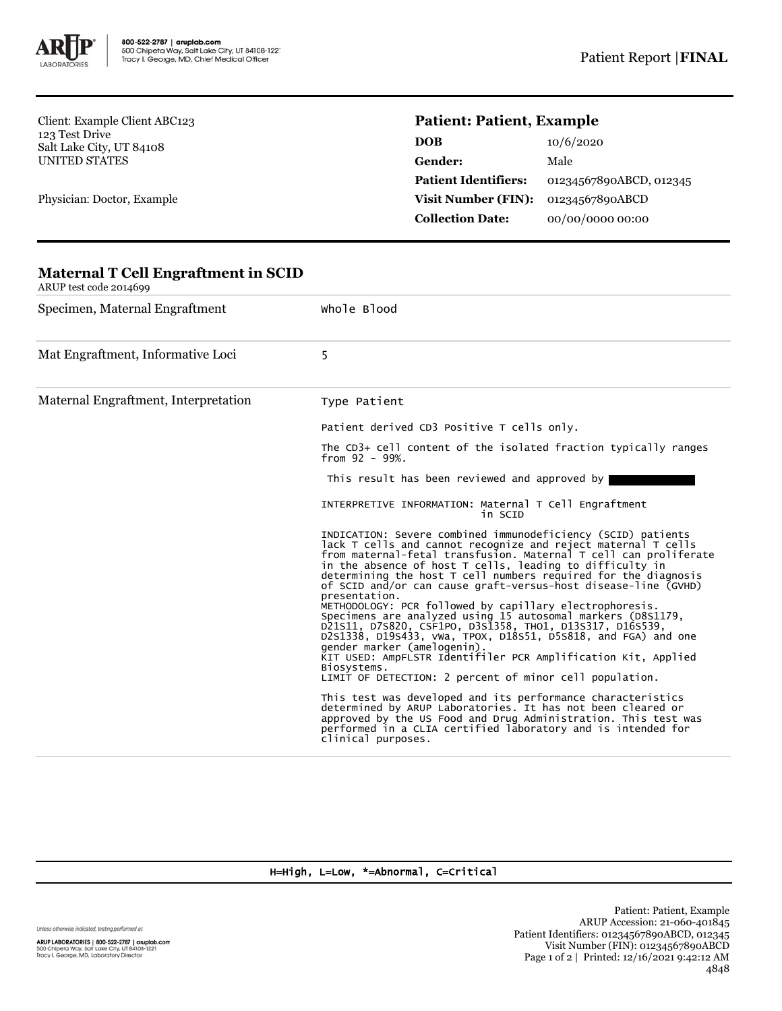

**Maternal T Cell Engraftment in SCID**

Client: Example Client ABC123 123 Test Drive Salt Lake City, UT 84108 UNITED STATES

Physician: Doctor, Example

## **Patient: Patient, Example**

| 10/6/2020               |
|-------------------------|
| Male                    |
| 01234567890ABCD, 012345 |
| 01234567890ABCD         |
| 00/00/0000 00:00        |
|                         |

## ARUP test code 2014699 Specimen, Maternal Engraftment Whole Blood Mat Engraftment, Informative Loci 5 Maternal Engraftment, Interpretation Type Patient Patient derived CD3 Positive T cells only. The CD3+ cell content of the isolated fraction typically ranges from 92 - 99%. This result has been reviewed and approved by INTERPRETIVE INFORMATION: Maternal T Cell Engraftment in SCID INDICATION: Severe combined immunodeficiency (SCID) patients lack T cells and cannot recognize and reject maternal T cells from maternal-fetal transfusion. Maternal T cell can proliferate in the absence of host T cells, leading to difficulty in determining the host T cell numbers required for the diagnosis of SCID and/or can cause graft-versus-host disease-line (GVHD) presentation. METHODOLOGY: PCR followed by capillary electrophoresis.<br>Specimens are analyzed using 15 autosomal markers (D8S1179,<br>D21S11, D7S820, CSF1PO, D3S1358, THO1, D13S317, D16S539,<br>D2S1338, D19S433, vWa, TPOX, D18S51, D5S818, and gender marker (amelogenin). KIT USED: AmpFLSTR Identifiler PCR Amplification Kit, Applied Biosystems. LIMIT OF DETECTION: 2 percent of minor cell population. This test was developed and its performance characteristics determined by ARUP Laboratories. It has not been cleared or approved by the US Food and Drug Administration. This test was performed in a CLIA certified laboratory and is intended for clinical purposes.

## H=High, L=Low, \*=Abnormal, C=Critical

Unless otherwise indicated, testing performed at:

ARUP LABORATORIES | 800-522-2787 | aruplab.com<br>500 Chipeta Way, Salt Lake City, UT 84108-1221<br>Tracy I. George, MD, Laboratory Director